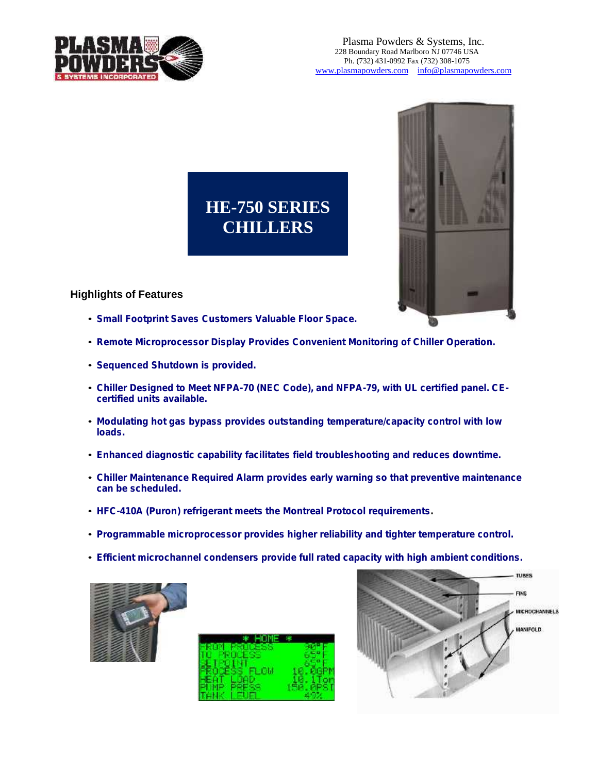# HE-750 SERIES **CHILLERS**

Highlights of Features

€Small Footprint Saves Custome rs Valuable Floor Space.

€Remote Microprocessor Display Provides Convenient Monitoring of Chiller Operation.

€Sequen ced Shutdo wn is provided.

€Chiller Designed to Meet NFPA-70 (NEC Code), and NFPA -79, with UL certified panel. CE certifi ed units available.

€Modulating hot gas bypass provi des outstanding temper atur e/capacity c ontrol with l ow loads.

€Enhanced diagnostic capability facilitates field troubleshooting and reduces downtime.

€Chiller Maintenance Required Alarm provides e arly warning so that preventive maintenance can be scheduled.

€HFC-410A (Puron) r efrig erant me ets the Montreal Protocol re quirement s.

€Programmable micropr ocess or prov ides higher reliability and tighter tem perature co ntrol.

€Efficie nt microcha nnel conden sers provide full r ated c apacity with high a mbient co nditions.